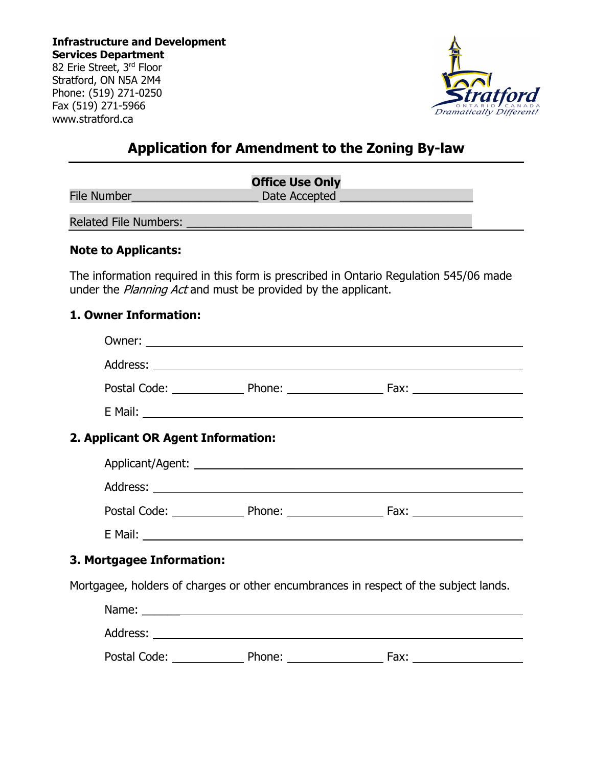**Infrastructure and Development Services Department** 82 Erie Street, 3rd Floor Stratford, ON N5A 2M4 Phone: (519) 271-0250 Fax (519) 271-5966 www.stratford.ca



# **Application for Amendment to the Zoning By-law**

|                              | <b>Office Use Only</b> |
|------------------------------|------------------------|
| <b>File Number</b>           | Date Accepted          |
| <b>Related File Numbers:</b> |                        |

#### **Note to Applicants:**

The information required in this form is prescribed in Ontario Regulation 545/06 made under the *Planning Act* and must be provided by the applicant.

#### **1. Owner Information:**

| Owner:                                                                                                                                                                                                                               |  |
|--------------------------------------------------------------------------------------------------------------------------------------------------------------------------------------------------------------------------------------|--|
|                                                                                                                                                                                                                                      |  |
|                                                                                                                                                                                                                                      |  |
| E Mail: <u>Alexander Alexander Alexander Alexander Alexander Alexander Alexander Alexander Alexander Alexander Alexander Alexander Alexander Alexander Alexander Alexander Alexander Alexander Alexander Alexander Alexander Ale</u> |  |
| 2. Applicant OR Agent Information:                                                                                                                                                                                                   |  |
|                                                                                                                                                                                                                                      |  |
|                                                                                                                                                                                                                                      |  |
|                                                                                                                                                                                                                                      |  |
| E Mail: National Accounts of the Community of the Community of the Community of the Community of the Community of the Community of the Community of the Community of the Community of the Community of the Community of the Co       |  |
| 3. Mortgagee Information:                                                                                                                                                                                                            |  |
| Mortgagee, holders of charges or other encumbrances in respect of the subject lands.                                                                                                                                                 |  |
|                                                                                                                                                                                                                                      |  |
|                                                                                                                                                                                                                                      |  |
|                                                                                                                                                                                                                                      |  |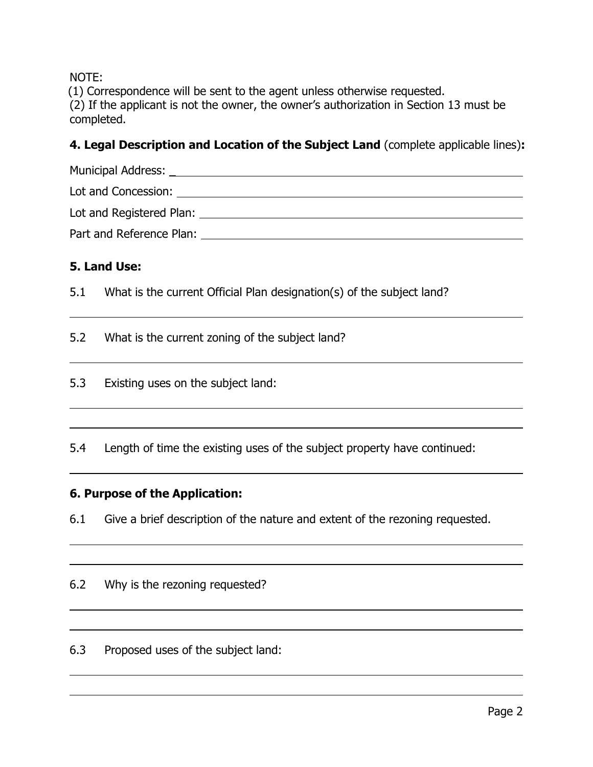NOTE:

(1) Correspondence will be sent to the agent unless otherwise requested. (2) If the applicant is not the owner, the owner's authorization in Section 13 must be completed.

# **4. Legal Description and Location of the Subject Land** (complete applicable lines)**:**

Municipal Address: \_ Lot and Concession: Lot and Registered Plan: Part and Reference Plan:

# **5. Land Use:**

 $\overline{a}$ 

 $\overline{a}$ 

5.1 What is the current Official Plan designation(s) of the subject land?

5.2 What is the current zoning of the subject land?

5.3 Existing uses on the subject land:

5.4 Length of time the existing uses of the subject property have continued:

### **6. Purpose of the Application:**

6.1 Give a brief description of the nature and extent of the rezoning requested.

### 6.2 Why is the rezoning requested?

6.3 Proposed uses of the subject land: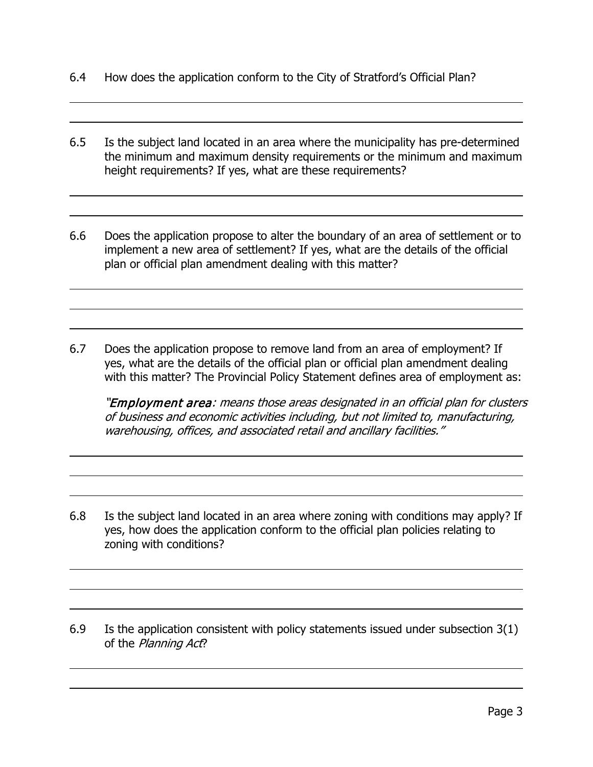6.4 How does the application conform to the City of Stratford's Official Plan?

 $\overline{a}$ 

 $\overline{a}$ 

 $\overline{a}$ 

 $\overline{a}$ 

 $\overline{a}$ 

 $\overline{a}$ 

- 6.5 Is the subject land located in an area where the municipality has pre-determined the minimum and maximum density requirements or the minimum and maximum height requirements? If yes, what are these requirements?
- 6.6 Does the application propose to alter the boundary of an area of settlement or to implement a new area of settlement? If yes, what are the details of the official plan or official plan amendment dealing with this matter?
- 6.7 Does the application propose to remove land from an area of employment? If yes, what are the details of the official plan or official plan amendment dealing with this matter? The Provincial Policy Statement defines area of employment as:

"Employment area: means those areas designated in an official plan for clusters of business and economic activities including, but not limited to, manufacturing, warehousing, offices, and associated retail and ancillary facilities."

- 6.8 Is the subject land located in an area where zoning with conditions may apply? If yes, how does the application conform to the official plan policies relating to zoning with conditions?
- 6.9 Is the application consistent with policy statements issued under subsection 3(1) of the Planning Act?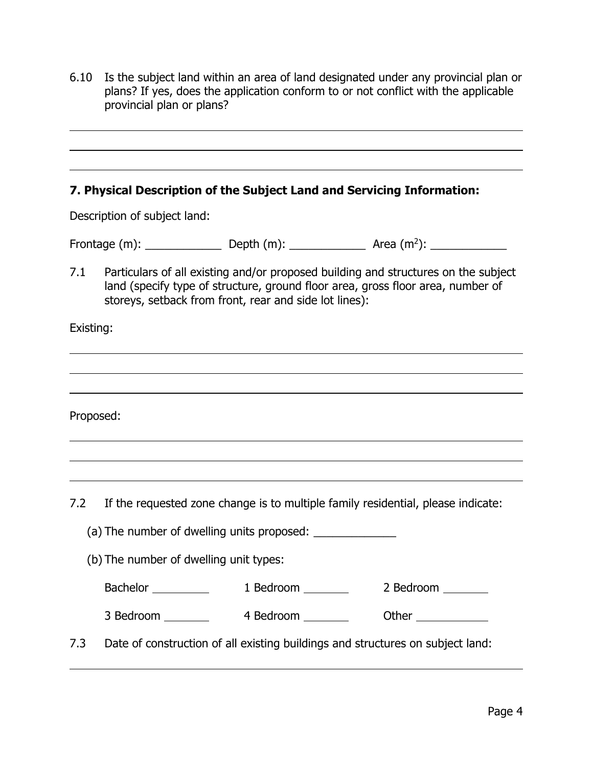6.10 Is the subject land within an area of land designated under any provincial plan or plans? If yes, does the application conform to or not conflict with the applicable provincial plan or plans?

#### **7. Physical Description of the Subject Land and Servicing Information:**

Description of subject land:

| Frontage (m): | Depth $(m)$ : | Area $(m^2)$ : |
|---------------|---------------|----------------|
|---------------|---------------|----------------|

7.1 Particulars of all existing and/or proposed building and structures on the subject land (specify type of structure, ground floor area, gross floor area, number of storeys, setback from front, rear and side lot lines):

Existing:

l

l

 $\overline{a}$ 

l

Proposed:

7.2 If the requested zone change is to multiple family residential, please indicate:

(a) The number of dwelling units proposed:

(b) The number of dwelling unit types:

Bachelor 1 Bedroom 2 Bedroom 2 Bedroom

3 Bedroom 4 Bedroom Other

7.3 Date of construction of all existing buildings and structures on subject land: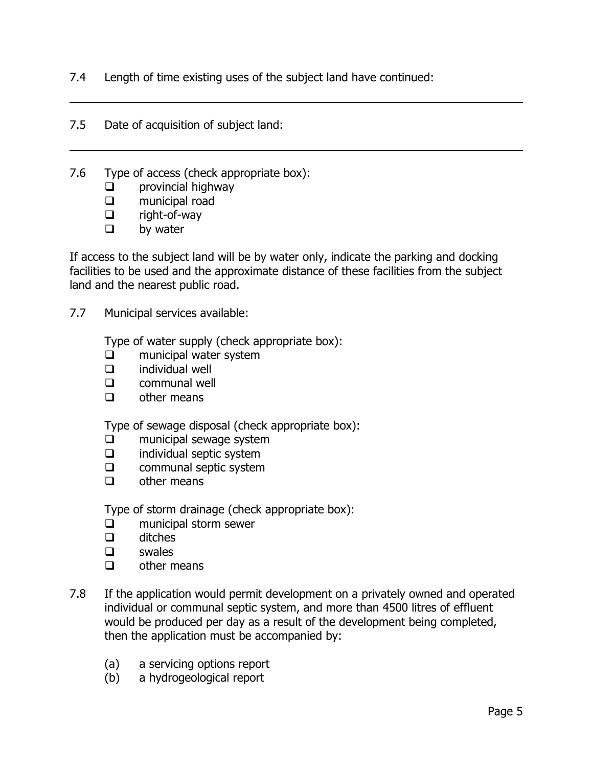7.4 Length of time existing uses of the subject land have continued:

- 7.5 Date of acquisition of subject land:
- 7.6 Type of access (check appropriate box):
	- $\Box$  provincial highway
	- $\square$  municipal road<br> $\square$  right-of-way
	- right-of-way
	- $\Box$  by water

 $\overline{a}$ 

If access to the subject land will be by water only, indicate the parking and docking facilities to be used and the approximate distance of these facilities from the subject land and the nearest public road.

7.7 Municipal services available:

Type of water supply (check appropriate box):

- $\square$  municipal water system<br> $\square$  individual well
- individual well
- $\Box$  communal well
- $\Box$  other means

Type of sewage disposal (check appropriate box):

- $\square$  municipal sewage system<br> $\square$  individual septic system
- $\Box$  individual septic system<br> $\Box$  communal septic system
- communal septic system
- $\Box$  other means

Type of storm drainage (check appropriate box):

- **Q** municipal storm sewer
- $\Box$  ditches
- swales
- $\Box$  other means
- 7.8 If the application would permit development on a privately owned and operated individual or communal septic system, and more than 4500 litres of effluent would be produced per day as a result of the development being completed, then the application must be accompanied by:
	- (a) a servicing options report
	- (b) a hydrogeological report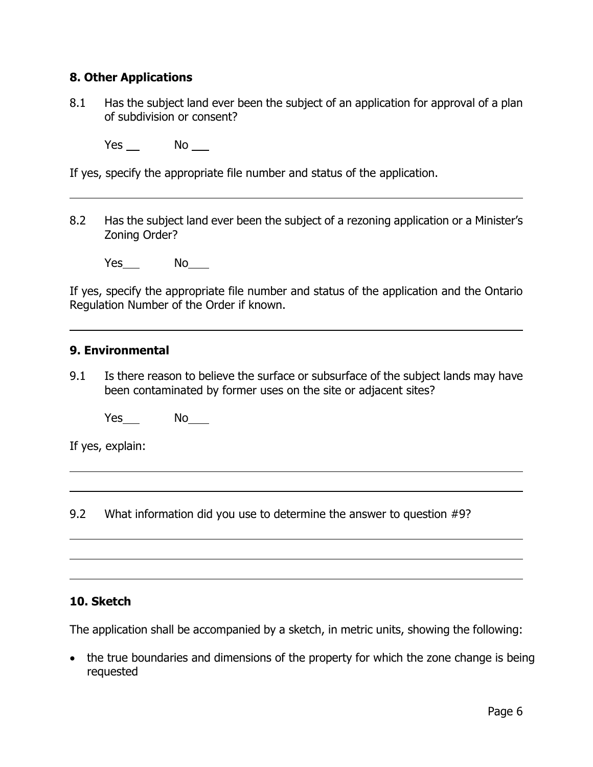### **8. Other Applications**

8.1 Has the subject land ever been the subject of an application for approval of a plan of subdivision or consent?

 $Yes$  No  $\Box$ 

If yes, specify the appropriate file number and status of the application.

8.2 Has the subject land ever been the subject of a rezoning application or a Minister's Zoning Order?

Yes No

If yes, specify the appropriate file number and status of the application and the Ontario Regulation Number of the Order if known.

#### **9. Environmental**

 $\overline{a}$ 

l

 $\overline{a}$ 

9.1 Is there reason to believe the surface or subsurface of the subject lands may have been contaminated by former uses on the site or adjacent sites?

Yes\_\_\_\_ No\_\_\_\_

If yes, explain:

9.2 What information did you use to determine the answer to question #9?

#### **10. Sketch**

The application shall be accompanied by a sketch, in metric units, showing the following:

• the true boundaries and dimensions of the property for which the zone change is being requested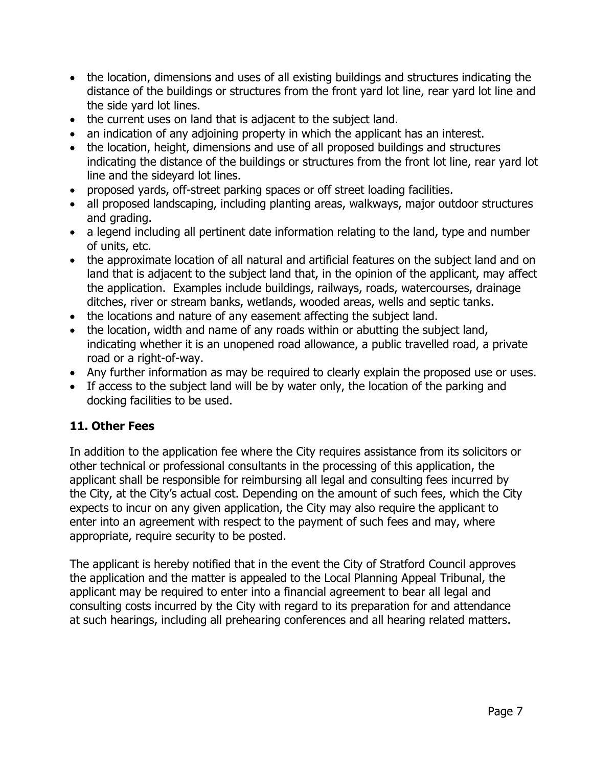- the location, dimensions and uses of all existing buildings and structures indicating the distance of the buildings or structures from the front yard lot line, rear yard lot line and the side yard lot lines.
- the current uses on land that is adjacent to the subject land.
- an indication of any adjoining property in which the applicant has an interest.
- the location, height, dimensions and use of all proposed buildings and structures indicating the distance of the buildings or structures from the front lot line, rear yard lot line and the sideyard lot lines.
- proposed yards, off-street parking spaces or off street loading facilities.
- all proposed landscaping, including planting areas, walkways, major outdoor structures and grading.
- a legend including all pertinent date information relating to the land, type and number of units, etc.
- the approximate location of all natural and artificial features on the subject land and on land that is adjacent to the subject land that, in the opinion of the applicant, may affect the application. Examples include buildings, railways, roads, watercourses, drainage ditches, river or stream banks, wetlands, wooded areas, wells and septic tanks.
- the locations and nature of any easement affecting the subject land.
- the location, width and name of any roads within or abutting the subject land, indicating whether it is an unopened road allowance, a public travelled road, a private road or a right-of-way.
- Any further information as may be required to clearly explain the proposed use or uses.
- If access to the subject land will be by water only, the location of the parking and docking facilities to be used.

# **11. Other Fees**

In addition to the application fee where the City requires assistance from its solicitors or other technical or professional consultants in the processing of this application, the applicant shall be responsible for reimbursing all legal and consulting fees incurred by the City, at the City's actual cost. Depending on the amount of such fees, which the City expects to incur on any given application, the City may also require the applicant to enter into an agreement with respect to the payment of such fees and may, where appropriate, require security to be posted.

The applicant is hereby notified that in the event the City of Stratford Council approves the application and the matter is appealed to the Local Planning Appeal Tribunal, the applicant may be required to enter into a financial agreement to bear all legal and consulting costs incurred by the City with regard to its preparation for and attendance at such hearings, including all prehearing conferences and all hearing related matters.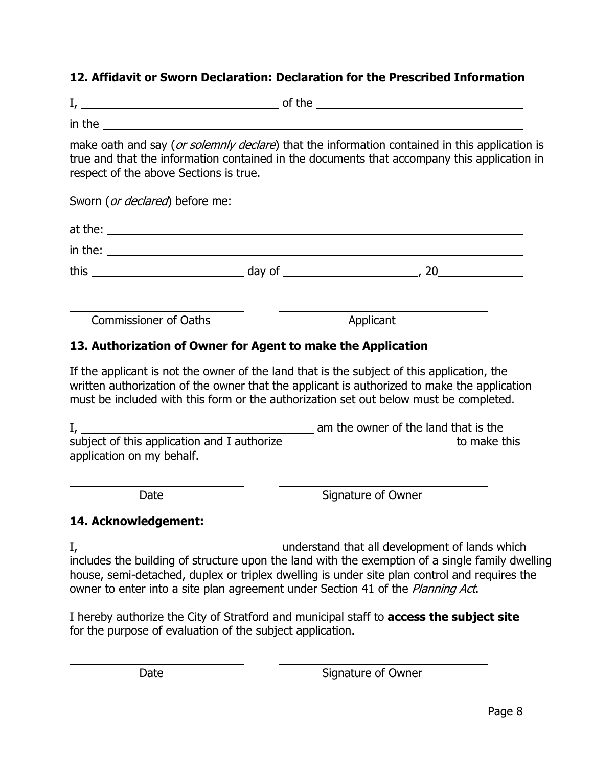# **12. Affidavit or Sworn Declaration: Declaration for the Prescribed Information**

| . . |  |
|-----|--|
|     |  |

in the

 $\overline{a}$ 

l

 $\overline{a}$ 

make oath and say (or solemnly declare) that the information contained in this application is true and that the information contained in the documents that accompany this application in respect of the above Sections is true.

Sworn (*or declared*) before me:

Commissioner of Oaths **Applicant** 

# **13. Authorization of Owner for Agent to make the Application**

If the applicant is not the owner of the land that is the subject of this application, the written authorization of the owner that the applicant is authorized to make the application must be included with this form or the authorization set out below must be completed.

| ш,                                          | am the owner of the land that is the |
|---------------------------------------------|--------------------------------------|
| subject of this application and I authorize | to make this                         |
| application on my behalf.                   |                                      |

Date **Signature of Owner** 

### **14. Acknowledgement:**

I, understand that all development of lands which includes the building of structure upon the land with the exemption of a single family dwelling house, semi-detached, duplex or triplex dwelling is under site plan control and requires the owner to enter into a site plan agreement under Section 41 of the Planning Act.

I hereby authorize the City of Stratford and municipal staff to **access the subject site** for the purpose of evaluation of the subject application.

Date Signature of Owner